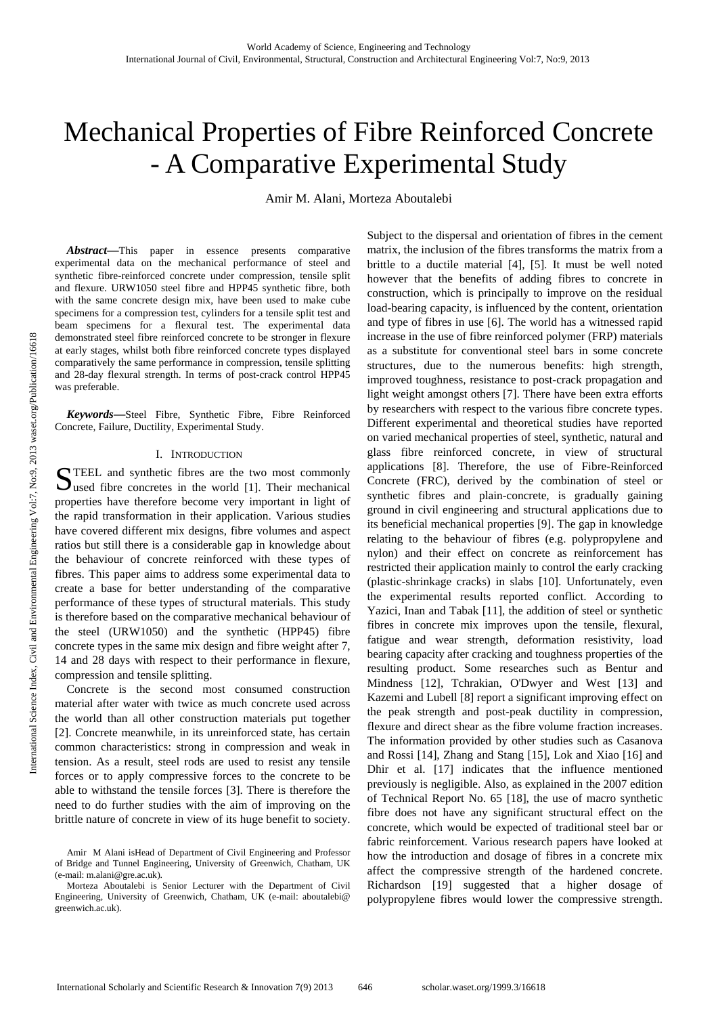# Mechanical Properties of Fibre Reinforced Concrete - A Comparative Experimental Study

Amir M. Alani, Morteza Aboutalebi

*Abstract***—**This paper in essence presents comparative experimental data on the mechanical performance of steel and synthetic fibre-reinforced concrete under compression, tensile split and flexure. URW1050 steel fibre and HPP45 synthetic fibre, both with the same concrete design mix, have been used to make cube specimens for a compression test, cylinders for a tensile split test and beam specimens for a flexural test. The experimental data demonstrated steel fibre reinforced concrete to be stronger in flexure at early stages, whilst both fibre reinforced concrete types displayed comparatively the same performance in compression, tensile splitting and 28-day flexural strength. In terms of post-crack control HPP45 was preferable.

*Keywords***—**Steel Fibre, Synthetic Fibre, Fibre Reinforced Concrete, Failure, Ductility, Experimental Study.

### I. INTRODUCTION

TEEL and synthetic fibres are the two most commonly STEEL and synthetic fibres are the two most commonly used fibre concretes in the world [1]. Their mechanical properties have therefore become very important in light of the rapid transformation in their application. Various studies have covered different mix designs, fibre volumes and aspect ratios but still there is a considerable gap in knowledge about the behaviour of concrete reinforced with these types of fibres. This paper aims to address some experimental data to create a base for better understanding of the comparative performance of these types of structural materials. This study is therefore based on the comparative mechanical behaviour of the steel (URW1050) and the synthetic (HPP45) fibre concrete types in the same mix design and fibre weight after 7, 14 and 28 days with respect to their performance in flexure, compression and tensile splitting.

Concrete is the second most consumed construction material after water with twice as much concrete used across the world than all other construction materials put together [2]. Concrete meanwhile, in its unreinforced state, has certain common characteristics: strong in compression and weak in tension. As a result, steel rods are used to resist any tensile forces or to apply compressive forces to the concrete to be able to withstand the tensile forces [3]. There is therefore the need to do further studies with the aim of improving on the brittle nature of concrete in view of its huge benefit to society. Subject to the dispersal and orientation of fibres in the cement matrix, the inclusion of the fibres transforms the matrix from a brittle to a ductile material [4], [5]. It must be well noted however that the benefits of adding fibres to concrete in construction, which is principally to improve on the residual load-bearing capacity, is influenced by the content, orientation and type of fibres in use [6]. The world has a witnessed rapid increase in the use of fibre reinforced polymer (FRP) materials as a substitute for conventional steel bars in some concrete structures, due to the numerous benefits: high strength, improved toughness, resistance to post-crack propagation and light weight amongst others [7]. There have been extra efforts by researchers with respect to the various fibre concrete types. Different experimental and theoretical studies have reported on varied mechanical properties of steel, synthetic, natural and glass fibre reinforced concrete, in view of structural applications [8]. Therefore, the use of Fibre-Reinforced Concrete (FRC), derived by the combination of steel or synthetic fibres and plain-concrete, is gradually gaining ground in civil engineering and structural applications due to its beneficial mechanical properties [9]. The gap in knowledge relating to the behaviour of fibres (e.g. polypropylene and nylon) and their effect on concrete as reinforcement has restricted their application mainly to control the early cracking (plastic-shrinkage cracks) in slabs [10]. Unfortunately, even the experimental results reported conflict. According to Yazici, Inan and Tabak [11], the addition of steel or synthetic fibres in concrete mix improves upon the tensile, flexural, fatigue and wear strength, deformation resistivity, load bearing capacity after cracking and toughness properties of the resulting product. Some researches such as Bentur and Mindness [12], Tchrakian, O'Dwyer and West [13] and Kazemi and Lubell [8] report a significant improving effect on the peak strength and post-peak ductility in compression, flexure and direct shear as the fibre volume fraction increases. The information provided by other studies such as Casanova and Rossi [14], Zhang and Stang [15], Lok and Xiao [16] and Dhir et al. [17] indicates that the influence mentioned previously is negligible. Also, as explained in the 2007 edition of Technical Report No. 65 [18], the use of macro synthetic fibre does not have any significant structural effect on the concrete, which would be expected of traditional steel bar or fabric reinforcement. Various research papers have looked at how the introduction and dosage of fibres in a concrete mix affect the compressive strength of the hardened concrete. Richardson [19] suggested that a higher dosage of polypropylene fibres would lower the compressive strength.

Amir M Alani isHead of Department of Civil Engineering and Professor of Bridge and Tunnel Engineering, University of Greenwich, Chatham, UK (e-mail: m.alani@gre.ac.uk).

Morteza Aboutalebi is Senior Lecturer with the Department of Civil Engineering, University of Greenwich, Chatham, UK (e-mail: aboutalebi@ greenwich.ac.uk).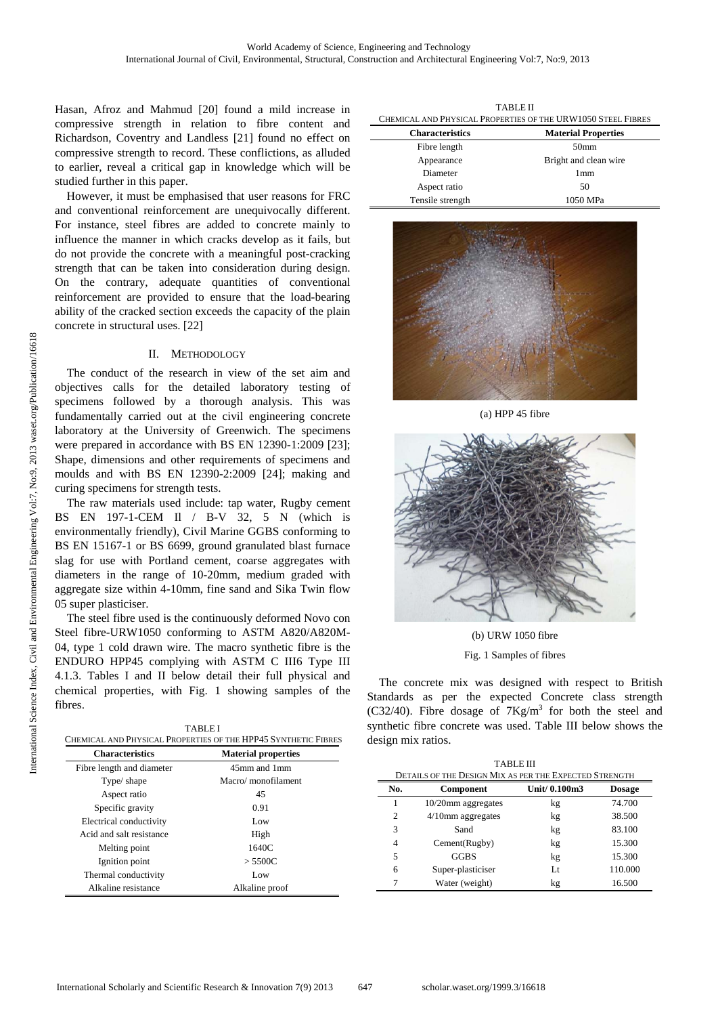Hasan, Afroz and Mahmud [20] found a mild increase in compressive strength in relation to fibre content and Richardson, Coventry and Landless [21] found no effect on compressive strength to record. These conflictions, as alluded to earlier, reveal a critical gap in knowledge which will be studied further in this paper.

However, it must be emphasised that user reasons for FRC and conventional reinforcement are unequivocally different. For instance, steel fibres are added to concrete mainly to influence the manner in which cracks develop as it fails, but do not provide the concrete with a meaningful post-cracking strength that can be taken into consideration during design. On the contrary, adequate quantities of conventional reinforcement are provided to ensure that the load-bearing ability of the cracked section exceeds the capacity of the plain concrete in structural uses. [22]

## II. METHODOLOGY

The conduct of the research in view of the set aim and objectives calls for the detailed laboratory testing of specimens followed by a thorough analysis. This was fundamentally carried out at the civil engineering concrete laboratory at the University of Greenwich. The specimens were prepared in accordance with BS EN 12390-1:2009 [23]; Shape, dimensions and other requirements of specimens and moulds and with BS EN 12390-2:2009 [24]; making and curing specimens for strength tests.

The raw materials used include: tap water, Rugby cement BS EN 197-1-CEM Il / B-V 32, 5 N (which is environmentally friendly), Civil Marine GGBS conforming to BS EN 15167-1 or BS 6699, ground granulated blast furnace slag for use with Portland cement, coarse aggregates with diameters in the range of 10-20mm, medium graded with aggregate size within 4-10mm, fine sand and Sika Twin flow 05 super plasticiser.

The steel fibre used is the continuously deformed Novo con Steel fibre-URW1050 conforming to ASTM A820/A820M-04, type 1 cold drawn wire. The macro synthetic fibre is the ENDURO HPP45 complying with ASTM C III6 Type III 4.1.3. Tables I and II below detail their full physical and chemical properties, with Fig. 1 showing samples of the fibres.

| CHEMICAL AND PHYSICAL PROPERTIES OF THE HPP45 SYNTHETIC FIBRES |                            |  |  |
|----------------------------------------------------------------|----------------------------|--|--|
| <b>Characteristics</b>                                         | <b>Material properties</b> |  |  |
| Fibre length and diameter                                      | 45mm and 1mm               |  |  |
| Type/ shape                                                    | Macro/monofilament         |  |  |
| Aspect ratio                                                   | 45                         |  |  |
| Specific gravity                                               | 0.91                       |  |  |
| Electrical conductivity                                        | Low                        |  |  |
| Acid and salt resistance                                       | High                       |  |  |
| Melting point                                                  | 1640C                      |  |  |
| Ignition point                                                 | > 5500C                    |  |  |

Thermal conductivity Low Alkaline resistance Alkaline proof

TABLE II  $\text{D}\text{W}$ 1050 Steel Fibr

| CHEMICAL AND LITERAL ENTERTIES OF THE UNWILD OF LEEL FIDNES |                            |  |
|-------------------------------------------------------------|----------------------------|--|
| <b>Characteristics</b>                                      | <b>Material Properties</b> |  |
| Fibre length                                                | 50 <sub>mm</sub>           |  |
| Appearance                                                  | Bright and clean wire      |  |
| Diameter                                                    | 1 <sub>mm</sub>            |  |
| Aspect ratio                                                | 50                         |  |
| Tensile strength                                            | 1050 MPa                   |  |



(a) HPP 45 fibre



(b) URW 1050 fibre Fig. 1 Samples of fibres

The concrete mix was designed with respect to British Standards as per the expected Concrete class strength (C32/40). Fibre dosage of  $7Kg/m<sup>3</sup>$  for both the steel and synthetic fibre concrete was used. Table III below shows the design mix ratios.

|     | <b>TABLE III</b><br>DETAILS OF THE DESIGN MIX AS PER THE EXPECTED STRENGTH |               |               |  |  |  |
|-----|----------------------------------------------------------------------------|---------------|---------------|--|--|--|
| No. | Component                                                                  | Unit/ 0.100m3 | <b>Dosage</b> |  |  |  |
|     | 10/20mm aggregates                                                         | kg            | 74.700        |  |  |  |
| 2   | 4/10mm aggregates                                                          | kg            | 38.500        |  |  |  |
| 3   | Sand                                                                       | kg            | 83.100        |  |  |  |
| 4   | Cement(Rugby)                                                              | kg            | 15.300        |  |  |  |
| 5   | <b>GGBS</b>                                                                | kg            | 15.300        |  |  |  |
| 6   | Super-plasticiser                                                          | Lt            | 110.000       |  |  |  |
|     | Water (weight)                                                             | kg            | 16.500        |  |  |  |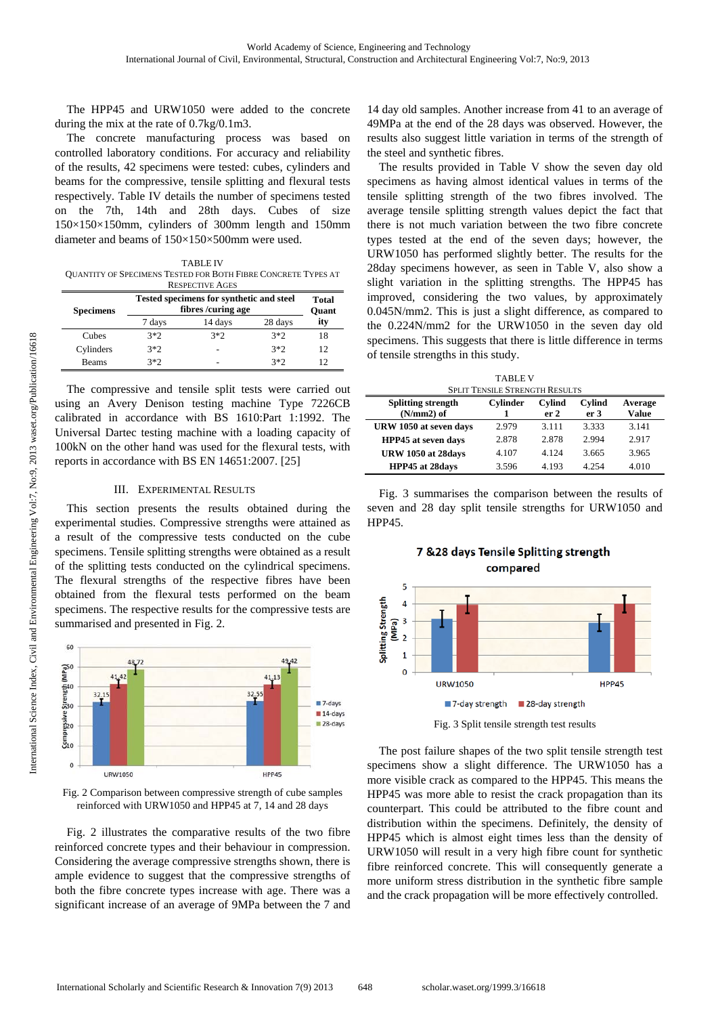The HPP45 and URW1050 were added to the concrete during the mix at the rate of 0.7kg/0.1m3.

The concrete manufacturing process was based on controlled laboratory conditions. For accuracy and reliability of the results, 42 specimens were tested: cubes, cylinders and beams for the compressive, tensile splitting and flexural tests respectively. Table IV details the number of specimens tested on the 7th, 14th and 28th days. Cubes of size 150×150×150mm, cylinders of 300mm length and 150mm diameter and beams of 150×150×500mm were used.

TABLE IV QUANTITY OF SPECIMENS TESTED FOR BOTH FIBRE CONCRETE TYPES AT

| <b>RESPECTIVE AGES</b> |                                                                |         |         |                       |  |
|------------------------|----------------------------------------------------------------|---------|---------|-----------------------|--|
| <b>Specimens</b>       | Tested specimens for synthetic and steel<br>fibres /curing age |         |         | Total<br><b>Ouant</b> |  |
|                        | 7 days                                                         | 14 days | 28 days | ity                   |  |
| Cubes                  | $3*2$                                                          | $3*2$   | $3*2$   | 18                    |  |
| Cylinders              | $3*2$                                                          |         | $3*2$   | 12                    |  |
| <b>Beams</b>           | マネク                                                            | -       | $3*2$   | 12                    |  |

The compressive and tensile split tests were carried out using an Avery Denison testing machine Type 7226CB calibrated in accordance with BS 1610:Part 1:1992. The Universal Dartec testing machine with a loading capacity of 100kN on the other hand was used for the flexural tests, with reports in accordance with BS EN 14651:2007. [25]

#### III. EXPERIMENTAL RESULTS

This section presents the results obtained during the experimental studies. Compressive strengths were attained as a result of the compressive tests conducted on the cube specimens. Tensile splitting strengths were obtained as a result of the splitting tests conducted on the cylindrical specimens. The flexural strengths of the respective fibres have been obtained from the flexural tests performed on the beam specimens. The respective results for the compressive tests are summarised and presented in Fig. 2.



Fig. 2 Comparison between compressive strength of cube samples reinforced with URW1050 and HPP45 at 7, 14 and 28 days

Fig. 2 illustrates the comparative results of the two fibre reinforced concrete types and their behaviour in compression. Considering the average compressive strengths shown, there is ample evidence to suggest that the compressive strengths of both the fibre concrete types increase with age. There was a significant increase of an average of 9MPa between the 7 and

14 day old samples. Another increase from 41 to an average of 49MPa at the end of the 28 days was observed. However, the results also suggest little variation in terms of the strength of the steel and synthetic fibres.

The results provided in Table V show the seven day old specimens as having almost identical values in terms of the tensile splitting strength of the two fibres involved. The average tensile splitting strength values depict the fact that there is not much variation between the two fibre concrete types tested at the end of the seven days; however, the URW1050 has performed slightly better. The results for the 28day specimens however, as seen in Table V, also show a slight variation in the splitting strengths. The HPP45 has improved, considering the two values, by approximately 0.045N/mm2. This is just a slight difference, as compared to the 0.224N/mm2 for the URW1050 in the seven day old specimens. This suggests that there is little difference in terms of tensile strengths in this study.

TABLE V

| <b>SPLIT TENSILE STRENGTH RESULTS</b> |                 |                 |                 |         |  |
|---------------------------------------|-----------------|-----------------|-----------------|---------|--|
| <b>Splitting strength</b>             | <b>Cylinder</b> | <b>Cylind</b>   | <b>Cylind</b>   | Average |  |
| $(N/mm 2)$ of                         |                 | er <sub>2</sub> | er <sub>3</sub> | Value   |  |
| URW 1050 at seven days                | 2.979           | 3.111           | 3.333           | 3.141   |  |
| HPP45 at seven days                   | 2.878           | 2.878           | 2.994           | 2.917   |  |
| URW 1050 at 28days                    | 4.107           | 4 1 2 4         | 3.665           | 3.965   |  |
| <b>HPP45</b> at 28days                | 3.596           | 4.193           | 4 2 5 4         | 4.010   |  |

Fig. 3 summarises the comparison between the results of seven and 28 day split tensile strengths for URW1050 and HPP45.



7 & 28 days Tensile Splitting strength compared

Fig. 3 Split tensile strength test results

The post failure shapes of the two split tensile strength test specimens show a slight difference. The URW1050 has a more visible crack as compared to the HPP45. This means the HPP45 was more able to resist the crack propagation than its counterpart. This could be attributed to the fibre count and distribution within the specimens. Definitely, the density of HPP45 which is almost eight times less than the density of URW1050 will result in a very high fibre count for synthetic fibre reinforced concrete. This will consequently generate a more uniform stress distribution in the synthetic fibre sample and the crack propagation will be more effectively controlled.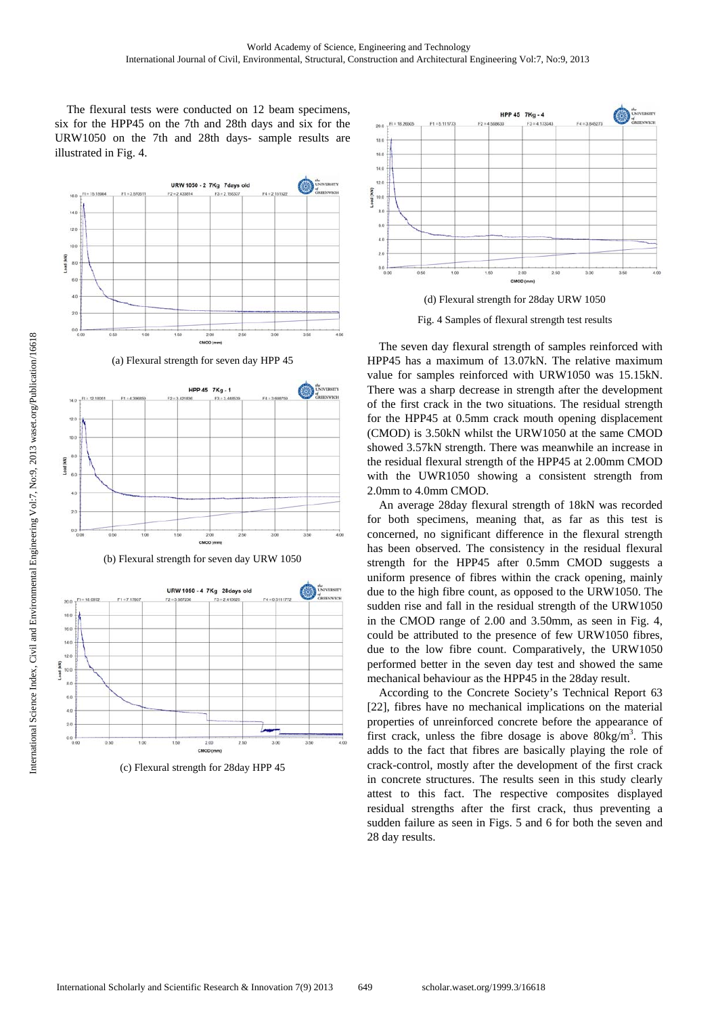The flexural tests were conducted on 12 beam specimens, six for the HPP45 on the 7th and 28th days and six for the URW1050 on the 7th and 28th days- sample results are illustrated in Fig. 4.



(c) Flexural strength for 28day HPP 45





The seven day flexural strength of samples reinforced with HPP45 has a maximum of 13.07kN. The relative maximum value for samples reinforced with URW1050 was 15.15kN. There was a sharp decrease in strength after the development of the first crack in the two situations. The residual strength for the HPP45 at 0.5mm crack mouth opening displacement (CMOD) is 3.50kN whilst the URW1050 at the same CMOD showed 3.57kN strength. There was meanwhile an increase in the residual flexural strength of the HPP45 at 2.00mm CMOD with the UWR1050 showing a consistent strength from 2.0mm to 4.0mm CMOD.

An average 28day flexural strength of 18kN was recorded for both specimens, meaning that, as far as this test is concerned, no significant difference in the flexural strength has been observed. The consistency in the residual flexural strength for the HPP45 after 0.5mm CMOD suggests a uniform presence of fibres within the crack opening, mainly due to the high fibre count, as opposed to the URW1050. The sudden rise and fall in the residual strength of the URW1050 in the CMOD range of 2.00 and 3.50mm, as seen in Fig. 4, could be attributed to the presence of few URW1050 fibres, due to the low fibre count. Comparatively, the URW1050 performed better in the seven day test and showed the same mechanical behaviour as the HPP45 in the 28day result.

According to the Concrete Society's Technical Report 63 [22], fibres have no mechanical implications on the material properties of unreinforced concrete before the appearance of first crack, unless the fibre dosage is above  $80\text{kg/m}^3$ . This adds to the fact that fibres are basically playing the role of crack-control, mostly after the development of the first crack in concrete structures. The results seen in this study clearly attest to this fact. The respective composites displayed residual strengths after the first crack, thus preventing a sudden failure as seen in Figs. 5 and 6 for both the seven and 28 day results.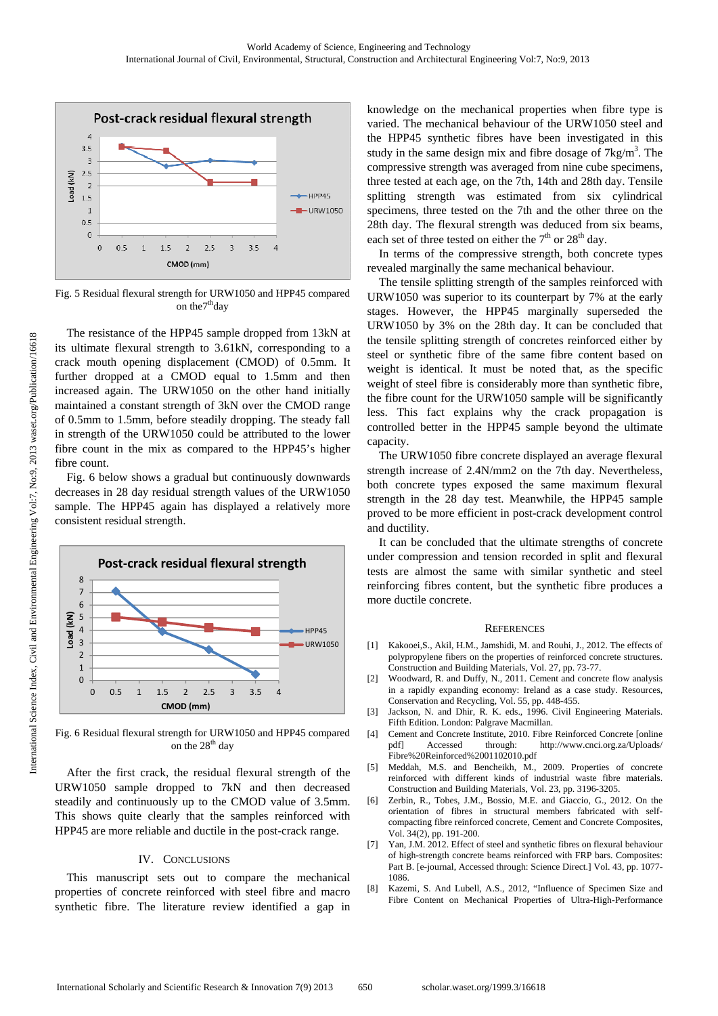

Fig. 5 Residual flexural strength for URW1050 and HPP45 compared on the<sup>7th</sup>day

The resistance of the HPP45 sample dropped from 13kN at its ultimate flexural strength to 3.61kN, corresponding to a crack mouth opening displacement (CMOD) of 0.5mm. It further dropped at a CMOD equal to 1.5mm and then increased again. The URW1050 on the other hand initially maintained a constant strength of 3kN over the CMOD range of 0.5mm to 1.5mm, before steadily dropping. The steady fall in strength of the URW1050 could be attributed to the lower fibre count in the mix as compared to the HPP45's higher fibre count.

Fig. 6 below shows a gradual but continuously downwards decreases in 28 day residual strength values of the URW1050 sample. The HPP45 again has displayed a relatively more consistent residual strength.



Fig. 6 Residual flexural strength for URW1050 and HPP45 compared on the 28<sup>th</sup> day

After the first crack, the residual flexural strength of the URW1050 sample dropped to 7kN and then decreased steadily and continuously up to the CMOD value of 3.5mm. This shows quite clearly that the samples reinforced with HPP45 are more reliable and ductile in the post-crack range.

#### IV. CONCLUSIONS

This manuscript sets out to compare the mechanical properties of concrete reinforced with steel fibre and macro synthetic fibre. The literature review identified a gap in knowledge on the mechanical properties when fibre type is varied. The mechanical behaviour of the URW1050 steel and the HPP45 synthetic fibres have been investigated in this study in the same design mix and fibre dosage of  $7\text{kg/m}^3$ . The compressive strength was averaged from nine cube specimens, three tested at each age, on the 7th, 14th and 28th day. Tensile splitting strength was estimated from six cylindrical specimens, three tested on the 7th and the other three on the 28th day. The flexural strength was deduced from six beams, each set of three tested on either the  $7<sup>th</sup>$  or  $28<sup>th</sup>$  day.

In terms of the compressive strength, both concrete types revealed marginally the same mechanical behaviour.

The tensile splitting strength of the samples reinforced with URW1050 was superior to its counterpart by 7% at the early stages. However, the HPP45 marginally superseded the URW1050 by 3% on the 28th day. It can be concluded that the tensile splitting strength of concretes reinforced either by steel or synthetic fibre of the same fibre content based on weight is identical. It must be noted that, as the specific weight of steel fibre is considerably more than synthetic fibre, the fibre count for the URW1050 sample will be significantly less. This fact explains why the crack propagation is controlled better in the HPP45 sample beyond the ultimate capacity.

The URW1050 fibre concrete displayed an average flexural strength increase of 2.4N/mm2 on the 7th day. Nevertheless, both concrete types exposed the same maximum flexural strength in the 28 day test. Meanwhile, the HPP45 sample proved to be more efficient in post-crack development control and ductility.

It can be concluded that the ultimate strengths of concrete under compression and tension recorded in split and flexural tests are almost the same with similar synthetic and steel reinforcing fibres content, but the synthetic fibre produces a more ductile concrete.

#### **REFERENCES**

- [1] Kakooei,S., Akil, H.M., Jamshidi, M. and Rouhi, J., 2012. The effects of polypropylene fibers on the properties of reinforced concrete structures. Construction and Building Materials, Vol. 27, pp. 73-77.
- [2] Woodward, R. and Duffy, N., 2011. Cement and concrete flow analysis in a rapidly expanding economy: Ireland as a case study. Resources, Conservation and Recycling, Vol. 55, pp. 448-455.
- [3] Jackson, N. and Dhir, R. K. eds., 1996. Civil Engineering Materials. Fifth Edition. London: Palgrave Macmillan.
- [4] Cement and Concrete Institute, 2010. Fibre Reinforced Concrete [online pdf] Accessed through: http://www.cnci.org.za/Uploads/ Fibre%20Reinforced%2001102010.pdf
- [5] Meddah, M.S. and Bencheikh, M., 2009. Properties of concrete reinforced with different kinds of industrial waste fibre materials. Construction and Building Materials, Vol. 23, pp. 3196-3205.
- [6] Zerbin, R., Tobes, J.M., Bossio, M.E. and Giaccio, G., 2012. On the orientation of fibres in structural members fabricated with selfcompacting fibre reinforced concrete, Cement and Concrete Composites, Vol. 34(2), pp. 191-200.
- [7] Yan, J.M. 2012. Effect of steel and synthetic fibres on flexural behaviour of high-strength concrete beams reinforced with FRP bars. Composites: Part B. [e-journal, Accessed through: Science Direct.] Vol. 43, pp. 1077- 1086.
- [8] Kazemi, S. And Lubell, A.S., 2012, "Influence of Specimen Size and Fibre Content on Mechanical Properties of Ultra-High-Performance